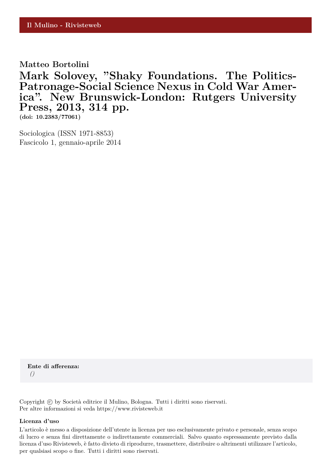**Matteo Bortolini**

**Mark Solovey, "Shaky Foundations. The Politics-Patronage-Social Science Nexus in Cold War America". New Brunswick-London: Rutgers University Press, 2013, 314 pp.**

**(doi: 10.2383/77061)**

Sociologica (ISSN 1971-8853) Fascicolo 1, gennaio-aprile 2014

**Ente di afferenza:** *()*

Copyright © by Società editrice il Mulino, Bologna. Tutti i diritti sono riservati. Per altre informazioni si veda https://www.rivisteweb.it

## **Licenza d'uso**

L'articolo è messo a disposizione dell'utente in licenza per uso esclusivamente privato e personale, senza scopo di lucro e senza fini direttamente o indirettamente commerciali. Salvo quanto espressamente previsto dalla licenza d'uso Rivisteweb, è fatto divieto di riprodurre, trasmettere, distribuire o altrimenti utilizzare l'articolo, per qualsiasi scopo o fine. Tutti i diritti sono riservati.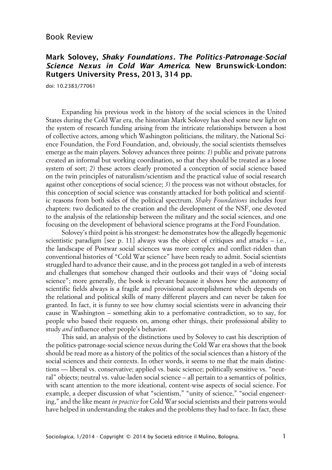## **Mark Solovey, Shaky Foundations. The Politics-Patronage-Social Science Nexus in Cold War America. New Brunswick-London: Rutgers University Press, 2013, 314 pp.**

doi: 10.2383/77061

Expanding his previous work in the history of the social sciences in the United States during the Cold War era, the historian Mark Solovey has shed some new light on the system of research funding arising from the intricate relationships between a host of collective actors, among which Washington politicians, the military, the National Science Foundation, the Ford Foundation, and, obviously, the social scientists themselves emerge as the main players. Solovey advances three points: *1*) public and private patrons created an informal but working coordination, so that they should be treated as a loose system of sort; 2) these actors clearly promoted a conception of social science based on the twin principles of naturalism/scientism and the practical value of social research against other conceptions of social science; *3*) the process was not without obstacles, for this conception of social science was constantly attacked for both political and scientific reasons from both sides of the political spectrum. *Shaky Foundations* includes four chapters: two dedicated to the creation and the development of the NSF, one devoted to the analysis of the relationship between the military and the social sciences, and one focusing on the development of behavioral science programs at the Ford Foundation.

Solovey's third point is his strongest: he demonstrates how the allegedly hegemonic scientistic paradigm [see p. 11] always was the object of critiques and attacks – i.e., the landscape of Postwar social sciences was more complex and conflict-ridden than conventional histories of "Cold War science" have been ready to admit. Social scientists struggled hard to advance their cause, and in the process got tangled in a web of interests and challenges that somehow changed their outlooks and their ways of "doing social science"; more generally, the book is relevant because it shows how the autonomy of scientific fields always is a fragile and provisional accomplishment which depends on the relational and political skills of many different players and can never be taken for granted. In fact, it is funny to see how clumsy social scientists were in advancing their cause in Washington – something akin to a perfomative contradiction, so to say, for people who based their requests on, among other things, their professional ability to study *and* influence other people's behavior.

This said, an analysis of the distinctions used by Solovey to cast his description of the politics-patronage-social science nexus during the Cold War era shows that the book should be read more as a history of the politics of the social sciences than a history of the social sciences and their contexts. In other words, it seems to me that the main distinctions — liberal vs. conservative; applied vs. basic science; politically sensitive vs. "neutral" objects; neutral vs. value-laden social science – all pertain to a semantics of politics, with scant attention to the more ideational, content-wise aspects of social science. For example, a deeper discussion of what "scientism," "unity of science," "social engeneering," and the like meant *in practice* for Cold War social scientists and their patrons would have helped in understanding the stakes and the problems they had to face. In fact, these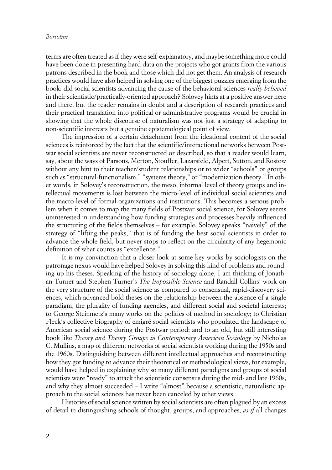## *Bortolini*

terms are often treated as if they were self-explanatory, and maybe something more could have been done in presenting hard data on the projects who got grants from the various patrons described in the book and those which did not get them. An analysis of research practices would have also helped in solving one of the biggest puzzles emerging from the book: did social scientists advancing the cause of the behavioral sciences *really believed* in their scientistic/practically-oriented approach? Solovey hints at a positive answer here and there, but the reader remains in doubt and a description of research practices and their practical translation into political or administrative programs would be crucial in showing that the whole discourse of naturalism was not just a strategy of adapting to non-scientific interests but a genuine epistemological point of view.

The impression of a certain detachment from the ideational content of the social sciences is reinforced by the fact that the scientific/interactional networks between Postwar social scientists are never reconstructed or described, so that a reader would learn, say, about the ways of Parsons, Merton, Stouffer, Lazarsfeld, Alpert, Sutton, and Rostow without any hint to their teacher/student relationships or to wider "schools" or groups such as "structural-functionalism," "systems theory," or "modernization theory." In other words, in Solovey's reconstruction, the meso, informal level of theory groups and intellectual movements is lost between the micro-level of individual social scientists and the macro-level of formal organizations and institutions. This becomes a serious problem when it comes to map the many fields of Postwar social science, for Solovey seems uninterested in understanding how funding strategies and processes heavily influenced the structuring of the fields themselves – for example, Solovey speaks "naively" of the strategy of "lifting the peaks," that is of funding the best social scientists in order to advance the whole field, but never stops to reflect on the circularity of any hegemonic definition of what counts as "excellence."

It is my convinction that a closer look at some key works by sociologists on the patronage nexus would have helped Solovey in solving this kind of problems and rounding up his theses. Speaking of the history of sociology alone, I am thinking of Jonathan Turner and Stephen Turner's *The Impossible Science* and Randall Collins' work on the very structure of the social science as compared to consensual, rapid-discovery sciences, which advanced bold theses on the relationship between the absence of a single paradigm, the plurality of funding agencies, and different social and societal interests; to George Steinmetz's many works on the politics of method in sociology; to Christian Fleck's collective biography of emigré social scientists who populated the landscape of American social science during the Postwar period; and to an old, but still interesting book like *Theory and Theory Groups in Contemporary American Sociology* by Nicholas C. Mullins, a map of different networks of social scientists working during the 1950s and the 1960s. Distinguishing between different intellectual approaches and reconstructing how they got funding to advance their theoretical or methodological views, for example, would have helped in explaining why so many different paradigms and groups of social scientists were "ready" to attack the scientistic consensus during the mid- and late 1960s, and why they almost succeeded – I write "almost" because a scientistic, naturalistic approach to the social sciences has never been canceled by other views.

Histories of social science written by social scientists are often plagued by an excess of detail in distinguishing schools of thought, groups, and approaches, *as if* all changes